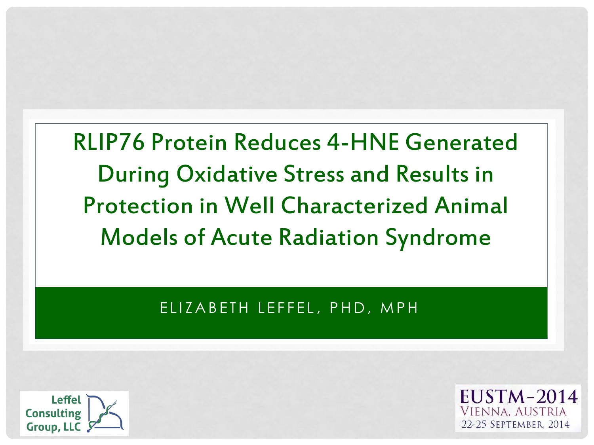RLIP76 Protein Reduces 4-HNE Generated During Oxidative Stress and Results in Protection in Well Characterized Animal Models of Acute Radiation Syndrome

ELIZABETH LEFFEL, PHD, MPH



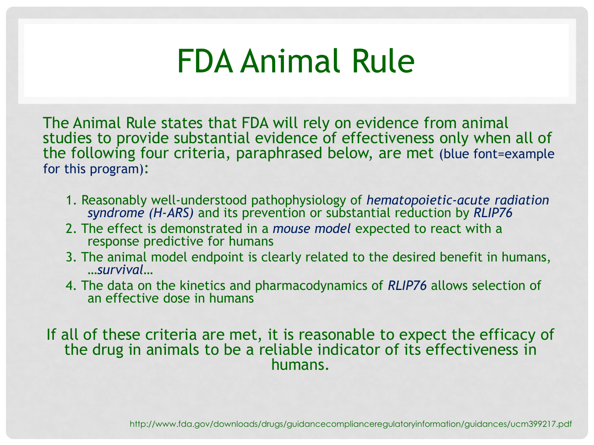## FDA Animal Rule

The Animal Rule states that FDA will rely on evidence from animal studies to provide substantial evidence of effectiveness only when all of the following four criteria, paraphrased below, are met (blue font=example for this program):

- 1. Reasonably well-understood pathophysiology of *hematopoietic-acute radiation syndrome (H-ARS)* and its prevention or substantial reduction by *RLIP76*
- 2. The effect is demonstrated in a *mouse model* expected to react with a response predictive for humans
- 3. The animal model endpoint is clearly related to the desired benefit in humans, …*survival*…
- 4. The data on the kinetics and pharmacodynamics of *RLIP76* allows selection of an effective dose in humans

If all of these criteria are met, it is reasonable to expect the efficacy of the drug in animals to be a reliable indicator of its effectiveness in humans.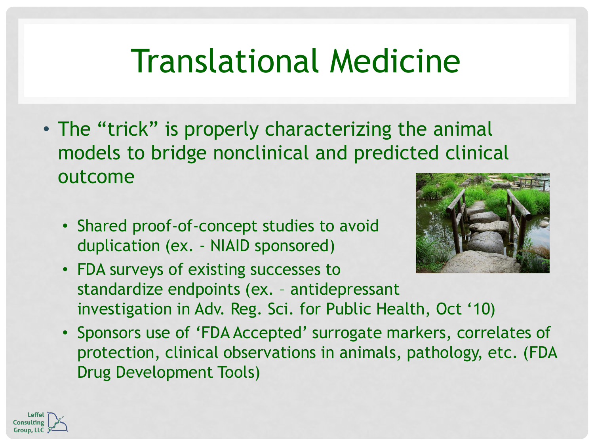# Translational Medicine

- The "trick" is properly characterizing the animal models to bridge nonclinical and predicted clinical outcome
	- Shared proof-of-concept studies to avoid duplication (ex. - NIAID sponsored)



- FDA surveys of existing successes to standardize endpoints (ex. – antidepressant investigation in Adv. Reg. Sci. for Public Health, Oct '10)
- Sponsors use of 'FDA Accepted' surrogate markers, correlates of protection, clinical observations in animals, pathology, etc. (FDA Drug Development Tools)

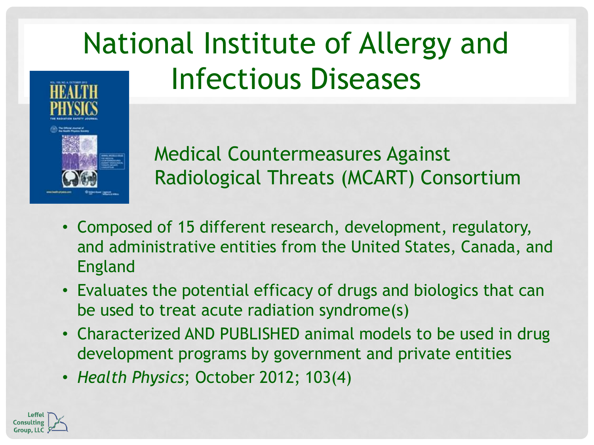## National Institute of Allergy and Infectious Diseases



Medical Countermeasures Against Radiological Threats (MCART) Consortium

- Composed of 15 different research, development, regulatory, and administrative entities from the United States, Canada, and England
- Evaluates the potential efficacy of drugs and biologics that can be used to treat acute radiation syndrome(s)
- Characterized AND PUBLISHED animal models to be used in drug development programs by government and private entities
- *Health Physics*; October 2012; 103(4)

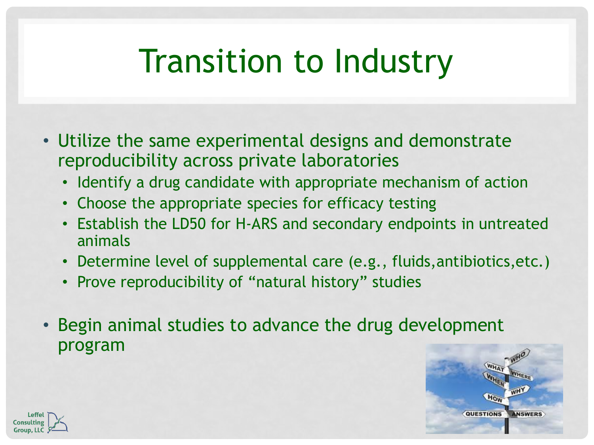# Transition to Industry

- Utilize the same experimental designs and demonstrate reproducibility across private laboratories
	- Identify a drug candidate with appropriate mechanism of action
	- Choose the appropriate species for efficacy testing
	- Establish the LD50 for H-ARS and secondary endpoints in untreated animals
	- Determine level of supplemental care (e.g., fluids,antibiotics,etc.)
	- Prove reproducibility of "natural history" studies
- Begin animal studies to advance the drug development program



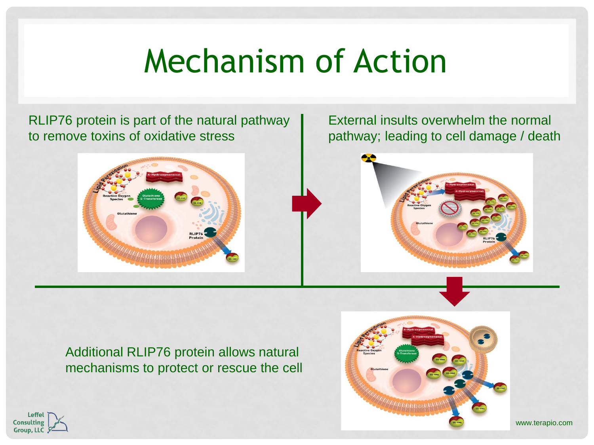# Mechanism of Action

RLIP76 protein is part of the natural pathway to remove toxins of oxidative stress



External insults overwhelm the normal pathway; leading to cell damage / death



Additional RLIP76 protein allows natural mechanisms to protect or rescue the cell





www.terapio.com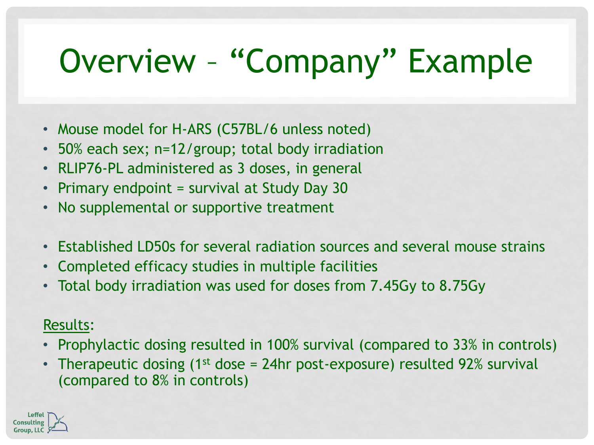# Overview – "Company" Example

- Mouse model for H-ARS (C57BL/6 unless noted)
- 50% each sex; n=12/group; total body irradiation
- RLIP76-PL administered as 3 doses, in general
- Primary endpoint = survival at Study Day 30
- No supplemental or supportive treatment
- Established LD50s for several radiation sources and several mouse strains
- Completed efficacy studies in multiple facilities
- Total body irradiation was used for doses from 7.45Gy to 8.75Gy

#### Results:

- Prophylactic dosing resulted in 100% survival (compared to 33% in controls)
- Therapeutic dosing (1<sup>st</sup> dose = 24hr post-exposure) resulted 92% survival (compared to 8% in controls)

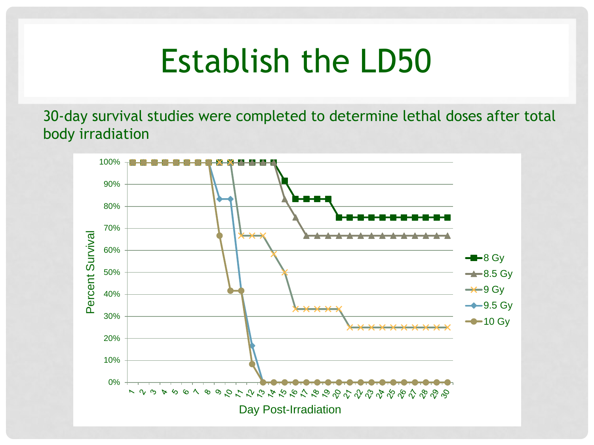#### Establish the LD50

30-day survival studies were completed to determine lethal doses after total body irradiation

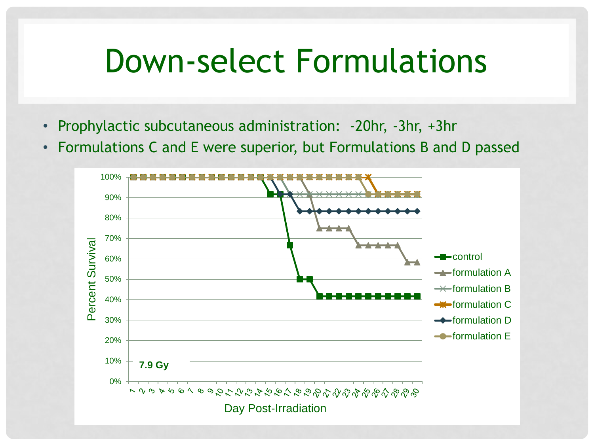#### Down-select Formulations

- Prophylactic subcutaneous administration: -20hr, -3hr, +3hr
- Formulations C and E were superior, but Formulations B and D passed

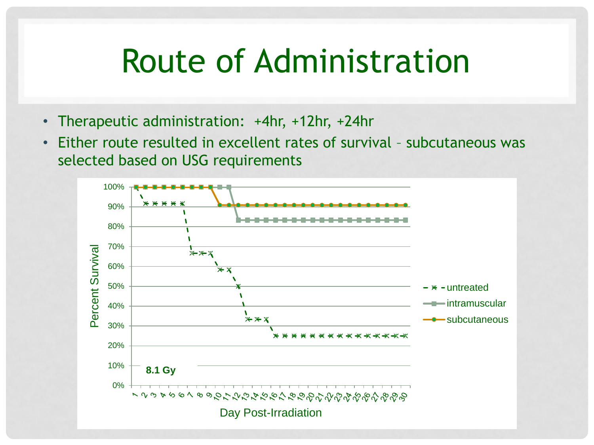#### Route of Administration

- Therapeutic administration: +4hr, +12hr, +24hr
- Either route resulted in excellent rates of survival subcutaneous was selected based on USG requirements

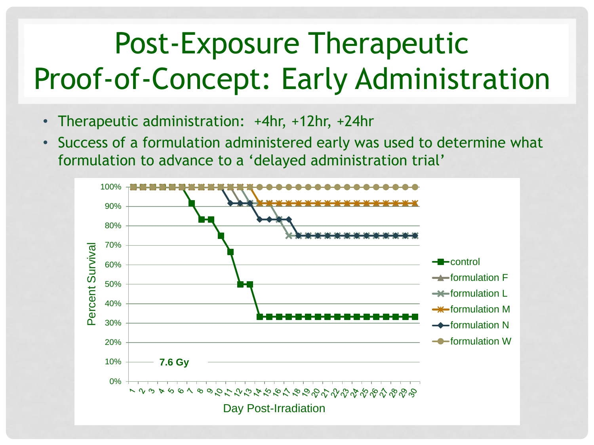## Post-Exposure Therapeutic Proof-of-Concept: Early Administration

- Therapeutic administration: +4hr, +12hr, +24hr
- Success of a formulation administered early was used to determine what formulation to advance to a 'delayed administration trial'

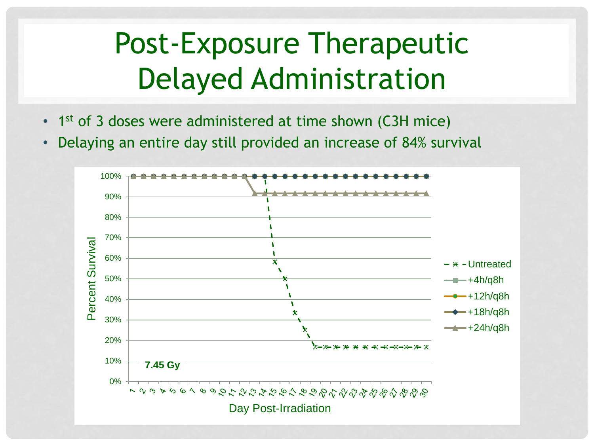#### Post-Exposure Therapeutic Delayed Administration

- 1<sup>st</sup> of 3 doses were administered at time shown (C3H mice)
- Delaying an entire day still provided an increase of 84% survival

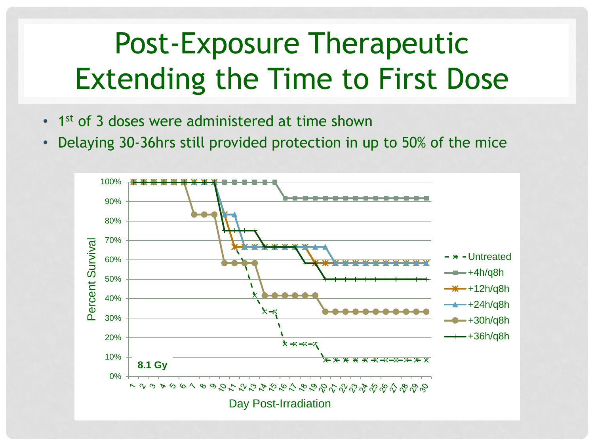#### Post-Exposure Therapeutic Extending the Time to First Dose

- 1<sup>st</sup> of 3 doses were administered at time shown
- Delaying 30-36hrs still provided protection in up to 50% of the mice

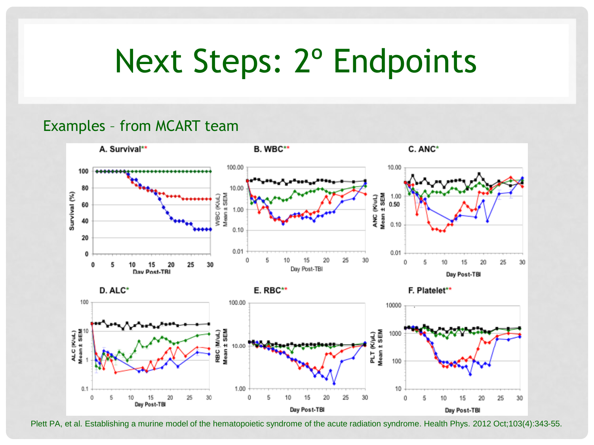## Next Steps: 2º Endpoints

#### Examples – from MCART team



Plett PA, et al. Establishing a murine model of the hematopoietic syndrome of the acute radiation syndrome. Health Phys. 2012 Oct;103(4):343-55.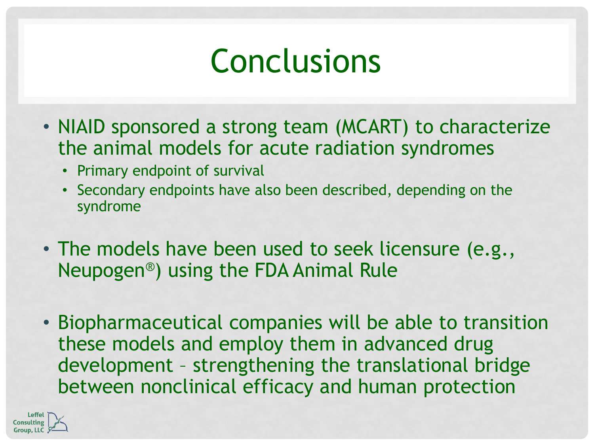## Conclusions

- NIAID sponsored a strong team (MCART) to characterize the animal models for acute radiation syndromes
	- Primary endpoint of survival
	- Secondary endpoints have also been described, depending on the syndrome
- The models have been used to seek licensure (e.g., Neupogen®) using the FDA Animal Rule
- Biopharmaceutical companies will be able to transition these models and employ them in advanced drug development – strengthening the translational bridge between nonclinical efficacy and human protection